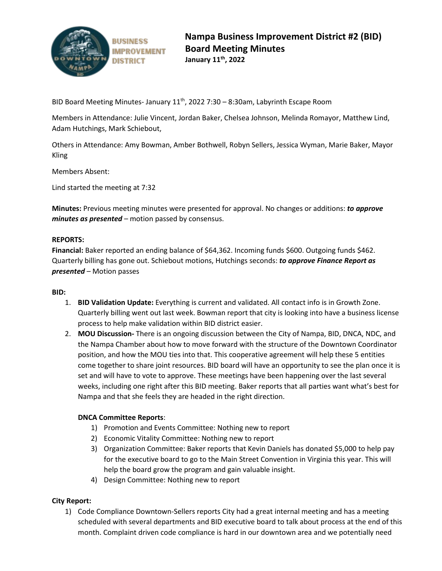

BID Board Meeting Minutes- January  $11<sup>th</sup>$ , 2022 7:30 – 8:30am, Labyrinth Escape Room

Members in Attendance: Julie Vincent, Jordan Baker, Chelsea Johnson, Melinda Romayor, Matthew Lind, Adam Hutchings, Mark Schiebout,

Others in Attendance: Amy Bowman, Amber Bothwell, Robyn Sellers, Jessica Wyman, Marie Baker, Mayor Kling

Members Absent:

Lind started the meeting at 7:32

**Minutes:** Previous meeting minutes were presented for approval. No changes or additions: *to approve minutes as presented* – motion passed by consensus.

### **REPORTS:**

**Financial:** Baker reported an ending balance of \$64,362. Incoming funds \$600. Outgoing funds \$462. Quarterly billing has gone out. Schiebout motions, Hutchings seconds: *to approve Finance Report as presented* – Motion passes

### **BID:**

- 1. **BID Validation Update:** Everything is current and validated. All contact info is in Growth Zone. Quarterly billing went out last week. Bowman report that city is looking into have a business license process to help make validation within BID district easier.
- 2. **MOU Discussion-** There is an ongoing discussion between the City of Nampa, BID, DNCA, NDC, and the Nampa Chamber about how to move forward with the structure of the Downtown Coordinator position, and how the MOU ties into that. This cooperative agreement will help these 5 entities come together to share joint resources. BID board will have an opportunity to see the plan once it is set and will have to vote to approve. These meetings have been happening over the last several weeks, including one right after this BID meeting. Baker reports that all parties want what's best for Nampa and that she feels they are headed in the right direction.

# **DNCA Committee Reports**:

- 1) Promotion and Events Committee: Nothing new to report
- 2) Economic Vitality Committee: Nothing new to report
- 3) Organization Committee: Baker reports that Kevin Daniels has donated \$5,000 to help pay for the executive board to go to the Main Street Convention in Virginia this year. This will help the board grow the program and gain valuable insight.
- 4) Design Committee: Nothing new to report

# **City Report:**

1) Code Compliance Downtown-Sellers reports City had a great internal meeting and has a meeting scheduled with several departments and BID executive board to talk about process at the end of this month. Complaint driven code compliance is hard in our downtown area and we potentially need